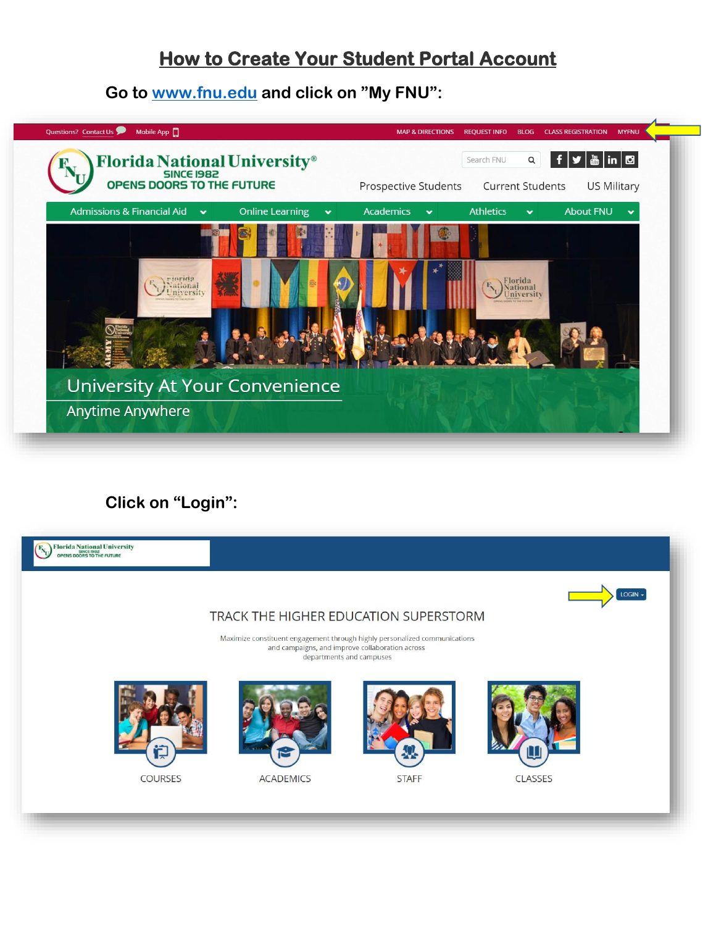## **How to Create Your Student Portal Account**

**Go to [www.fnu.edu](http://www.fnu.edu/) and click on "My FNU":**



## **Click on "Login":**

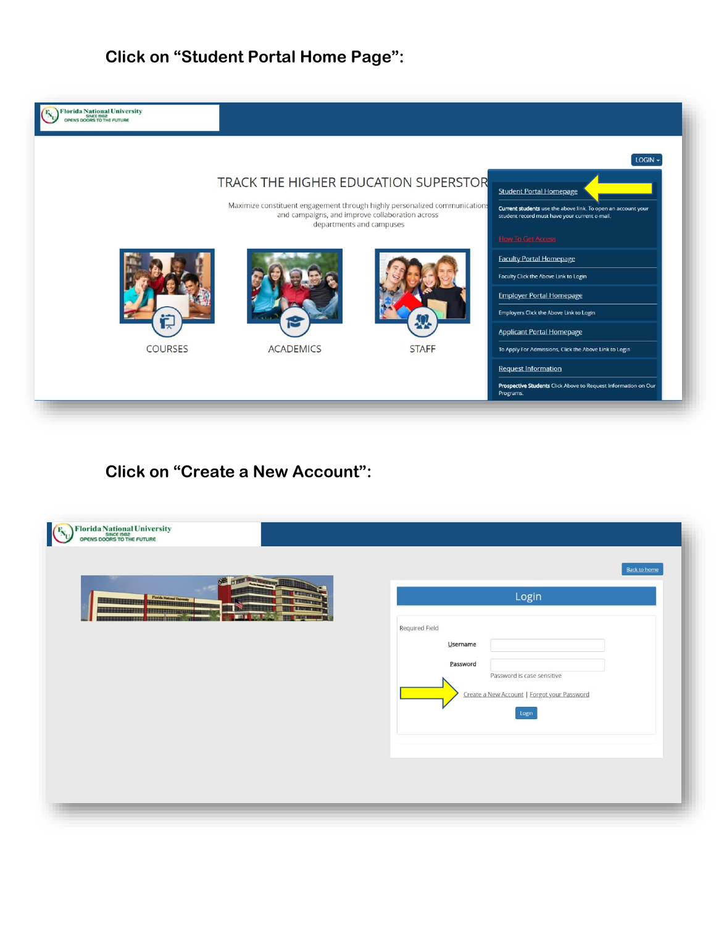**Click on "Student Portal Home Page":**





## **Click on "Create a New Account":**

| Florida National University<br>opens doors to the future<br><b>NB</b> | <b>Back to home</b>                                                                                                                   |
|-----------------------------------------------------------------------|---------------------------------------------------------------------------------------------------------------------------------------|
| <b>Florida National Univ</b><br><b>THE L</b>                          | Login<br>Required Field<br>Username<br>Password<br>Password is case sensitive<br>Create a New Account   Forgot your Password<br>Login |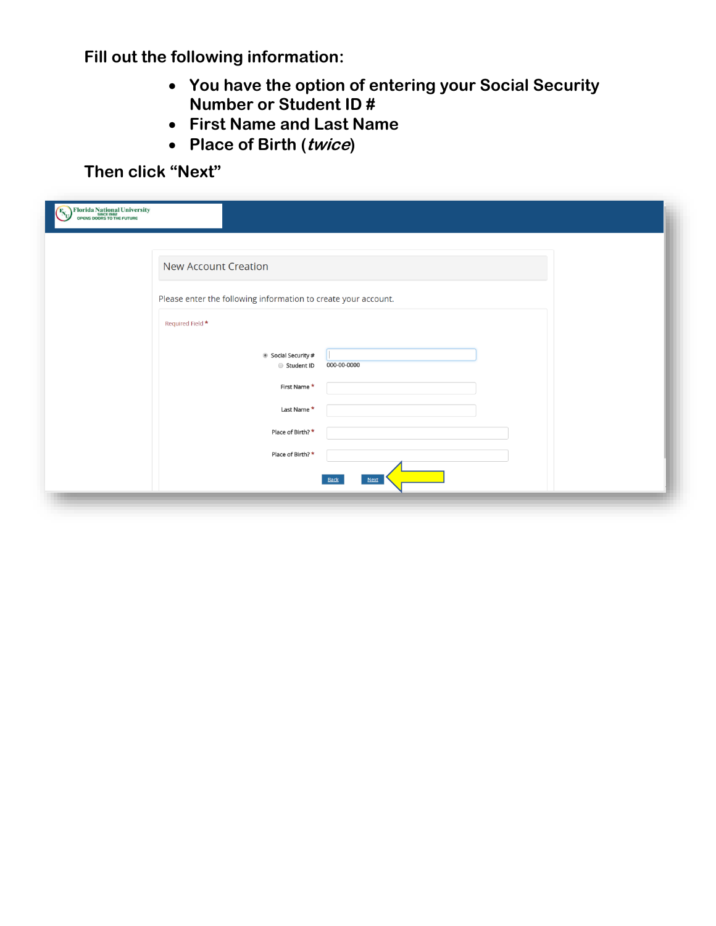**Fill out the following information:**

- **You have the option of entering your Social Security Number or Student ID #**
- **First Name and Last Name**
- **Place of Birth (twice)**

**Then click "Next"**

| Florida National University<br>SINCE 1982<br>OPENS DOORS TO THE FUTURE |                                                                |
|------------------------------------------------------------------------|----------------------------------------------------------------|
|                                                                        | <b>New Account Creation</b>                                    |
|                                                                        | Please enter the following information to create your account. |
|                                                                        | Required Field *                                               |
|                                                                        | Social Security #<br>000-00-0000<br>Student ID                 |
|                                                                        | First Name*                                                    |
|                                                                        | Last Name *<br>Place of Birth? *                               |
|                                                                        | Place of Birth? *                                              |
|                                                                        | Next<br><b>Back</b>                                            |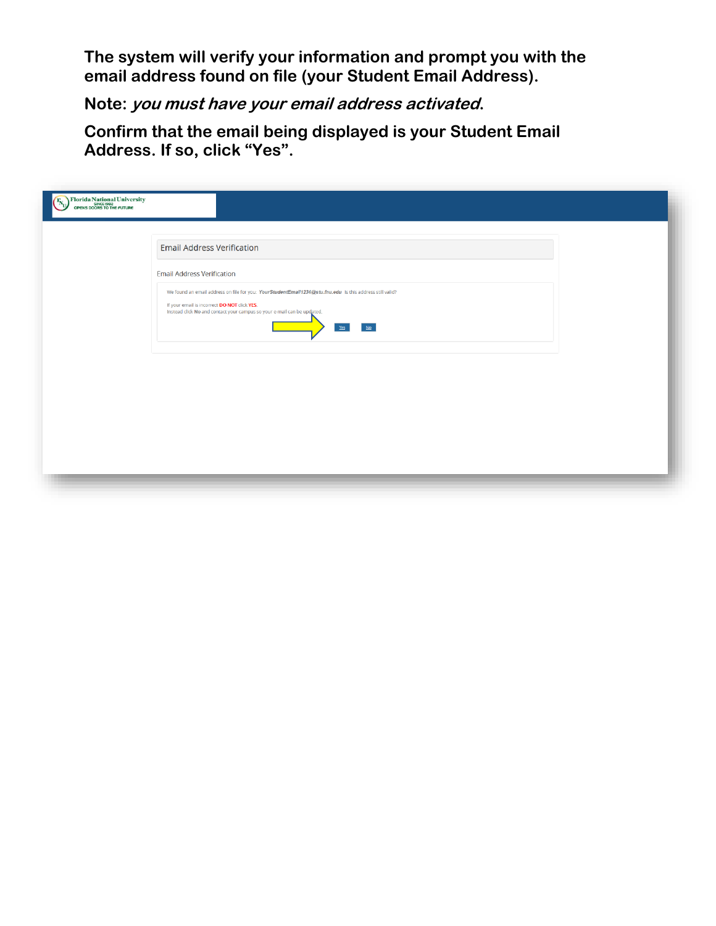**The system will verify your information and prompt you with the email address found on file (your Student Email Address).**

**Note: you must have your email address activated.**

**Confirm that the email being displayed is your Student Email Address. If so, click "Yes".**

| Florida National University<br>OPENS DOORS TO THE FUTURE |                                                                                                                                                                                                                                                  |
|----------------------------------------------------------|--------------------------------------------------------------------------------------------------------------------------------------------------------------------------------------------------------------------------------------------------|
|                                                          | <b>Email Address Verification</b>                                                                                                                                                                                                                |
|                                                          | <b>Email Address Verification</b>                                                                                                                                                                                                                |
|                                                          | We found an email address on file for you: YourStudentEmail1234@stu.fnu.edu Is this address still valid?<br>If your email is incorrect DO NOT click YES.<br>Instead click No and contact your campus so your e-mail can be updated.<br>NQ<br>Yes |
|                                                          |                                                                                                                                                                                                                                                  |
|                                                          |                                                                                                                                                                                                                                                  |
|                                                          |                                                                                                                                                                                                                                                  |
|                                                          |                                                                                                                                                                                                                                                  |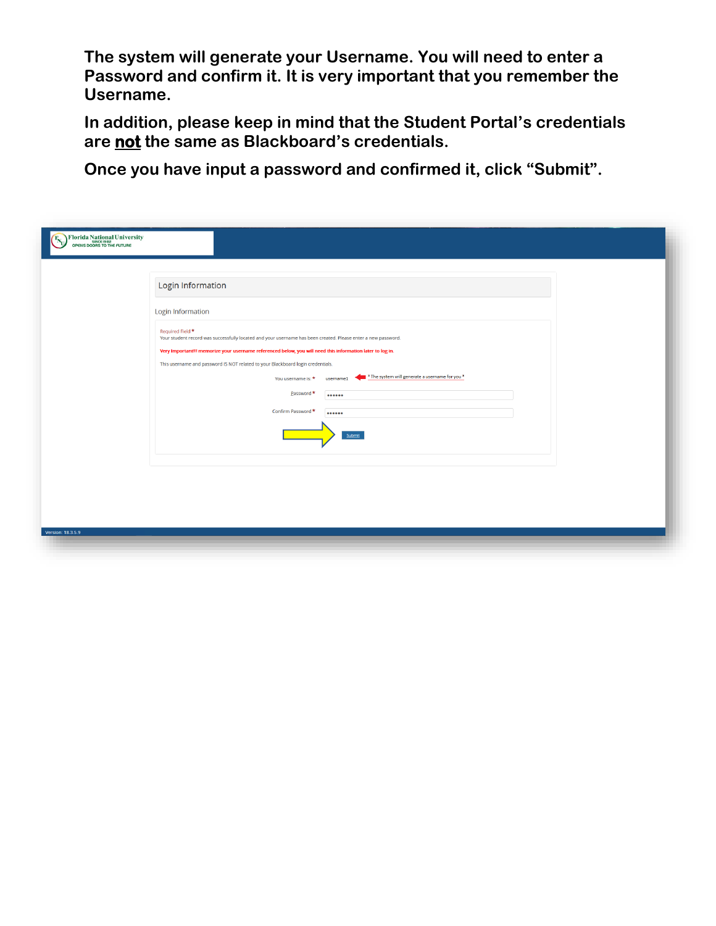**The system will generate your Username. You will need to enter a Password and confirm it. It is very important that you remember the Username.**

**In addition, please keep in mind that the Student Portal's credentials are not the same as Blackboard's credentials.**

**Once you have input a password and confirmed it, click "Submit".**

| Florida National University<br>OPENS DOORS TO THE FUTURE |                                                                                                                                                                                               |
|----------------------------------------------------------|-----------------------------------------------------------------------------------------------------------------------------------------------------------------------------------------------|
|                                                          | Login Information                                                                                                                                                                             |
|                                                          | Login Information                                                                                                                                                                             |
|                                                          | Required Field <sup>★</sup><br>Your student record was successfully located and your username has been created. Please enter a new password.                                                  |
|                                                          | Very Important!!! memorize your username referenced below, you will need this information later to log in.<br>This username and password IS NOT related to your Blackboard login credentials. |
|                                                          | * The system will generate a username for you *<br>You username is: *<br>username1<br>Password *<br>                                                                                          |
|                                                          | Confirm Password *<br>                                                                                                                                                                        |
|                                                          | Submit                                                                                                                                                                                        |
|                                                          |                                                                                                                                                                                               |
|                                                          |                                                                                                                                                                                               |
|                                                          |                                                                                                                                                                                               |
| Version: 18.3.5.9                                        |                                                                                                                                                                                               |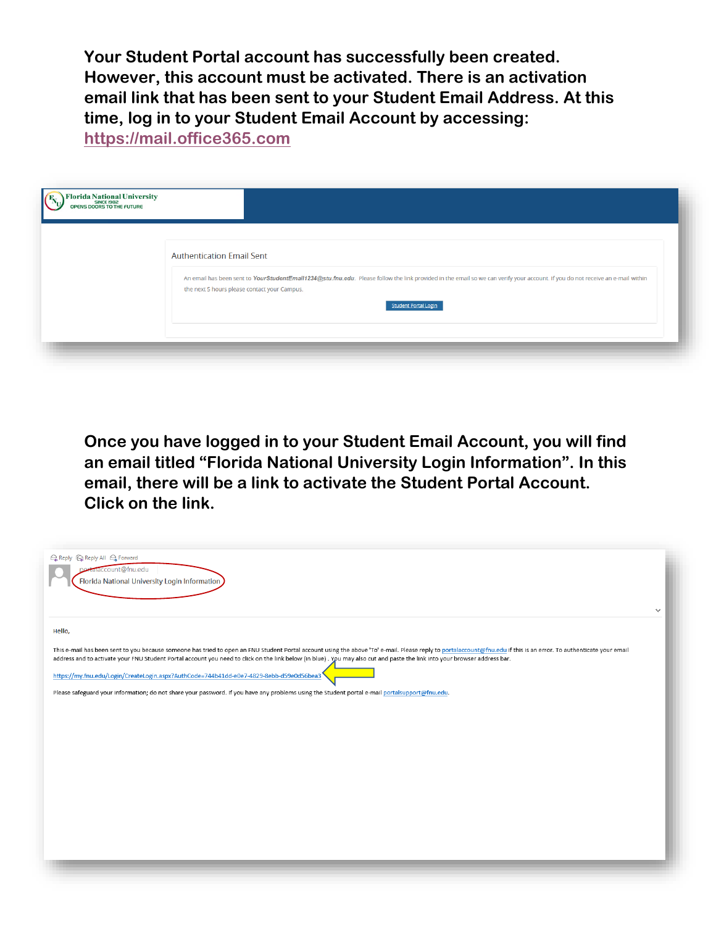**Your Student Portal account has successfully been created. However, this account must be activated. There is an activation email link that has been sent to your Student Email Address. At this time, log in to your Student Email Account by accessing:** 

**[https://mail.office365.com](https://mail.office365.com/)**

| <b>Florida National University</b><br>OPENS DOORS TO THE FUTURE |                                                                                                                                                                                                                                                                                                   |
|-----------------------------------------------------------------|---------------------------------------------------------------------------------------------------------------------------------------------------------------------------------------------------------------------------------------------------------------------------------------------------|
|                                                                 | <b>Authentication Email Sent</b><br>An email has been sent to YourStudentEmail1234@stu.fnu.edu. Please follow the link provided in the email so we can verify your account. If you do not receive an e-mail within<br>the next 5 hours please contact your Campus.<br><b>Student Portal Login</b> |
|                                                                 |                                                                                                                                                                                                                                                                                                   |

**Once you have logged in to your Student Email Account, you will find an email titled "Florida National University Login Information". In this email, there will be a link to activate the Student Portal Account. Click on the link.**

| Q Reply Q Reply All Q Forward<br>alaccount@fnu.edu                                                                                                                                                                                                                                                                                                                                               |              |
|--------------------------------------------------------------------------------------------------------------------------------------------------------------------------------------------------------------------------------------------------------------------------------------------------------------------------------------------------------------------------------------------------|--------------|
| Florida National University Login Information                                                                                                                                                                                                                                                                                                                                                    |              |
|                                                                                                                                                                                                                                                                                                                                                                                                  | $\checkmark$ |
| Hello,                                                                                                                                                                                                                                                                                                                                                                                           |              |
| This e-mail has been sent to you because someone has tried to open an FNU Student Portal account using the above 'To' e-mail. Please reply to portalaccount@fnu.edu if this is an error. To authenticate your email<br>address and to activate your FNU Student Portal account you need to click on the link below (in blue). You may also cut and paste the link into your browser address bar. |              |
| https://my.fnu.edu/Login/CreateLogin.aspx?AuthCode=744b41dd-e0e7-4829-8ebb-d59e0d56bea3                                                                                                                                                                                                                                                                                                          |              |
| Please safeguard your information; do not share your password. If you have any problems using the Student portal e-mail portalsupport@fnu.edu.                                                                                                                                                                                                                                                   |              |
|                                                                                                                                                                                                                                                                                                                                                                                                  |              |
|                                                                                                                                                                                                                                                                                                                                                                                                  |              |
|                                                                                                                                                                                                                                                                                                                                                                                                  |              |
|                                                                                                                                                                                                                                                                                                                                                                                                  |              |
|                                                                                                                                                                                                                                                                                                                                                                                                  |              |
|                                                                                                                                                                                                                                                                                                                                                                                                  |              |
|                                                                                                                                                                                                                                                                                                                                                                                                  |              |
|                                                                                                                                                                                                                                                                                                                                                                                                  |              |
|                                                                                                                                                                                                                                                                                                                                                                                                  |              |
|                                                                                                                                                                                                                                                                                                                                                                                                  |              |
|                                                                                                                                                                                                                                                                                                                                                                                                  |              |